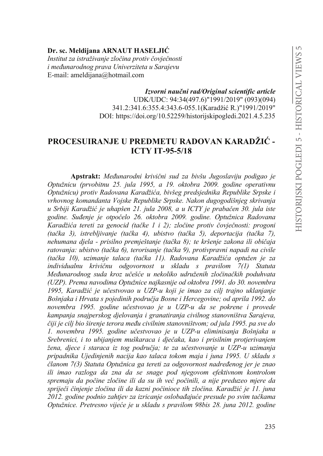# Dr. sc. Meldiiana ARNAUT HASELJIĆ

Institut za istraživanje zločina protiv čovječnosti i međunarodnog prava Univerziteta u Sarajevu E-mail: ameldijana@hotmail.com

> Izvorni naučni rad/Original scientific article UDK/UDC: 94:34(497.6)"1991/2019" (093)(094) 341.2:341.6:355.4:343.6-055.1(Karadžić R.)"1991/2019" DOI: https://doi.org/10.52259/historijskipogledi.2021.4.5.235

# PROCESUIRANJE U PREDMETU RADOVAN KARADŽIĆ -**ICTY IT-95-5/18**

Apstrakt: Međunarodni krivični sud za bivšu Jugoslaviju podigao je Optužnicu (prvobitnu 25. jula 1995, a 19. oktobra 2009. godine operativnu Optužnicu) protiv Radovana Karadžića, bivšeg predsjednika Republike Srpske i vrhovnog komandanta Vojske Republike Srpske. Nakon dugogodišnjeg skrivanja u Srbiji Karadžić je uhapšen 21. jula 2008, a u ICTY je prabačen 30. jula iste godine. Suđenje je otpočelo 26. oktobra 2009. godine. Optužnica Radovana Karadžića tereti za genocid (tačke 1 i 2); zločine protiv čovječnosti: progoni (tačka 3), istrebljivanje (tačka 4), ubistvo (tačka 5), deportacija (tačka 7), nehumana djela - prisilno premještanje (tačka 8); te kršenje zakona ili običaja ratovanja: ubistvo (tačka 6), terorisanje (tačka 9), protivpravni napadi na civile (tačka 10), uzimanje talaca (tačka 11). Radovana Karadžića optužen je za individualnu krivičnu odgovornost u skladu s pravilom 7(1) Statuta Međunarodnog suda kroz učešće u nekoliko udruženih zločinačkih poduhvata (UZP). Prema navodima Optužnice najkasnije od oktobra 1991. do 30. novembra 1995, Karadžić je učestvovao u UZP-u koji je imao za cilj trajno uklanjanje Bošniaka i Hrvata s pojedinih područja Bosne i Hercegovine: od aprila 1992. do novembra 1995. godine učestvovao je u UZP-u da se pokrene i provede kampanja snajperskog djelovanja i granatiranja civilnog stanovništva Sarajeva, čiji je cilj bio širenje terora među civilnim stanovništvom; od jula 1995. pa sve do 1. novembra 1995. godine učestvovao je u UZP-u eliminisanja Bošnjaka u Srebrenici, i to ubijanjem muškaraca i dječaka, kao i prisilnim protjerivanjem žena, djece i staraca iz tog područja; te za učestvovanje u UZP-u uzimanja pripadnika Ujedinjenih nacija kao talaca tokom maja i juna 1995. U skladu s članom 7(3) Statuta Optužnica ga tereti za odgovornost nadređenog jer je znao ili imao razloga da zna da se snage pod njegovom efektivnom kontrolom spremaju da počine zločine ili da su ih već počinili, a nije preduzeo mjere da spriječi činjenje zločina ili da kazni počinioce tih zločina. Karadžić je 11. juna 2012. godine podnio zahtjev za izricanje oslobađajuće presude po svim tačkama Optužnice. Pretresno vijeće je u skladu s pravilom 98bis 28. juna 2012. godine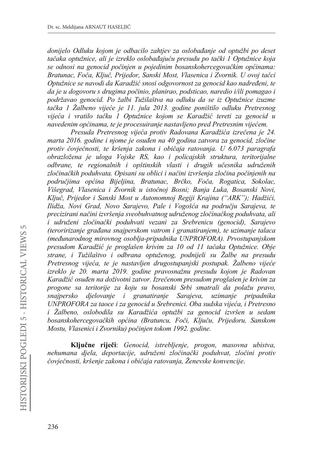*donijelo Odluku kojom je RGEDFLOR ]DKWMHY ]D RVOREDÿDQMH RG RSWXåEL SR GHVHW tačaka optužnice, ali je izreklo oslobađajuću presudu po tački 1 Optužnice koja* se odnosi na genocid počinjen u pojedinim bosanskohercegovačkim općinama: Bratunac, Foča, Ključ, Prijedor, Sanski Most, Vlasenica i Zvornik. U ovoj tačci Optužnice se navodi da Karadžić snosi odgovornost za genocid kao nadređeni, te da je u dogovoru s drugima počinio, planirao, podsticao, naredio i/ili pomagao i *podržavao genocid. Po žalbi Tužilaštva na odluku da se iz Optužnice izuzme*  tačka 1 Žalbeno vijeće je 11. jula 2013. godine poništilo odluku Pretresnog *Vijeća i vratilo tačku 1 Optužnice kojom se Karadžić tereti za genocid u navedenim općinama, te je procesuiranje nastavljeno pred Pretresnim vijećem.* 

Presuda Pretresnog vijeća protiv Radovana Karadžića izrečena je 24. *marta 2016. godine i njome je osuđen na 40 godina zatvora za genocid, zločine SURWLY þRYMHþQRVWL WH NUãHQMD ]DNRQD L RELþDMD UDWRYDQMD U 6.073 paragrafa obrazložena je uloga Vojske RS, kao i policajskih struktura, teritorijalne odbrane, te regionalnih i opštinskih vlasti L GUXJLK XþHVQLND XGUXåHQih* zločinačkih poduhvata. Opisani su oblici i načini izvršenja zločina počinjenih na područjima općina Bijeljina, Bratunac, Brčko, Foča, Rogatica, Sokolac, Višegrad, Vlasenica i Zvornik u istočnoj Bosni; Banja Luka, Bosanski Novi, *Ključ, Prijedor i Sanski Most u Autonomnoj Regiji Krajina ("ARK"); Hadžići, Ilidža, Novi Grad, Novo Sarajevo, Pale i Vogošća na području Sarajeva, te* precizirani načini izvršenja sveobuhvatnog udruženog zločinačkog poduhvata, ali *L XGUXåHQL ]ORþLQDþNL SRGXKYDWL YH]DQL ]D 6UHEUHQLFX genocid), Sarajevo WHURULUL]DQMHJUDÿDQDVQDMSHUVNRPYDWURPLJUDQDWLUDQMHP, te uzimanje talaca PHÿXQDURGQRJPLURYQRJRVREOMD-pripadnika UNPROFORA). Prvostupanjskom presudom Karadžić je proglašen krivim za 10 od 11 tačaka Optužnice. Obje strane, i Tužilaštvo i odbrana optuženog, podnijeli su Žalbe na presudu Pretresnog vijeća, te je nastavljen drugostupanjski postupak. Zalbeno vijeće izreklo je 20. marta 2019. godine pravosnažnu presudu kojom je Radovan .DUDGåLüRVXÿHQQDGRåLYRWQL]DWYRU,]UHþHQRPSUHVudom proglašen je krivim za progone sa teritorije za koju su bosanski Srbi smatrali da polažu pravo, snajpersko djelovanje i granatiranje Sarajeva, uzimanje pripadnika UNPROFORA za taoce i za genocid u Srebrenici. Oba sudska vijeća, i Pretresno i* Žalbeno, oslobodila su Karadžića optužbi za genocid izvršen u sedam bosanskohercegovačkih općina (Bratuncu, Foči, Ključu, Prijedoru, Sanskom *Mostu, Vlasenici i Zvorniku) počinjen tokom 1992. godine.* 

Ključne riječi: *Genocid, istrebljenje, progon, masovna ubistva*, nehumana djela, deportacije, udruženi zločinački poduhvat, zločini protiv čovječnosti, kršenje zakona i običaja ratovanja, Ženevske konvencije.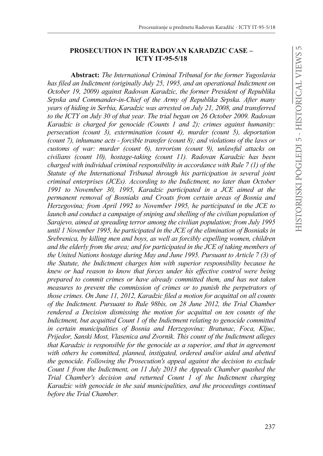$\overline{5}$ 

# **PROSECUTION IN THE RADOVAN KARADZIC CASE – ICTY IT-95-5/18**

**Abstract:** *The International Criminal Tribunal for the former Yugoslavia has filed an Indictment (originally July 25, 1995, and an operational Indictment on October 19, 2009) against Radovan Karadzic, the former President of Republika Srpska and Commander-in-Chief of the Army of Republika Srpska. After many years of hiding in Serbia, Karadzic was arrested on July 21, 2008, and transferred to the ICTY on July 30 of that year. The trial began on 26 October 2009. Radovan Karadzic is charged for genocide (Counts 1 and 2); crimes against humanity: persecution (count 3), extermination (count 4), murder (count 5), deportation (count 7), inhumane acts - forcible transfer (count 8); and violations of the laws or customs of war: murder (count 6), terrorism (count 9), unlawful attacks on civilians (count 10), hostage-taking (count 11). Radovan Karadzic has been charged with individual criminal responsibility in accordance with Rule 7 (1) of the Statute of the International Tribunal through his participation in several joint criminal enterprises (JCEs). According to the Indictment, no later than October 1991 to November 30, 1995, Karadzic participated in a JCE aimed at the permanent removal of Bosniaks and Croats from certain areas of Bosnia and Herzegovina; from April 1992 to November 1995, he participated in the JCE to launch and conduct a campaign of sniping and shelling of the civilian population of Sarajevo, aimed at spreading terror among the civilian population; from July 1995 until 1 November 1995, he participated in the JCE of the elimination of Bosniaks in Srebrenica, by killing men and boys, as well as forcibly expelling women, children and the elderly from the area; and for participated in the JCE of taking members of the United Nations hostage during May and June 1995. Pursuant to Article 7 (3) of the Statute, the Indictment charges him with superior responsibility because he knew or had reason to know that forces under his effective control were being prepared to commit crimes or have already committed them, and has not taken measures to prevent the commission of crimes or to punish the perpetrators of those crimes. On June 11, 2012, Karadzic filed a motion for acquittal on all counts of the Indictment. Pursuant to Rule 98bis, on 28 June 2012, the Trial Chamber rendered a Decision dismissing the motion for acquittal on ten counts of the Indictment, but acquitted Count 1 of the Indictment relating to genocide committed in certain municipalities of Bosnia and Herzegovina: Bratunac, Foca, Kljuc, Prijedor, Sanski Most, Vlasenica and Zvornik. This count of the Indictment alleges that Karadzic is responsible for the genocide as a superior, and that in agreement with others he committed, planned, instigated, ordered and/or aided and abetted the genocide. Following the Prosecution's appeal against the decision to exclude Count 1 from the Indictment, on 11 July 2013 the Appeals Chamber quashed the Trial Chamber's decision and returned Count 1 of the Indictment charging Karadzic with genocide in the said municipalities, and the proceedings continued before the Trial Chamber.*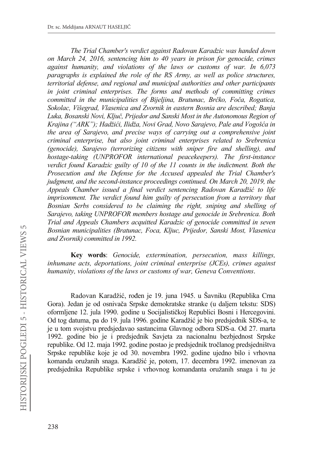*The Trial Chamber's verdict against Radovan Karadzic was handed down on March 24, 2016, sentencing him to 40 years in prison for genocide, crimes against humanity, and violations of the laws or customs of war. In 6,073 paragraphs is explained the role of the RS Army, as well as police structures, territorial defense, and regional and municipal authorities and other participants in joint criminal enterprises. The forms and methods of committing crimes committed in the municipalities of Bijeljina, Bratunac, Brčko, Foča, Rogatica, Sokolac, Višegrad, Vlasenica and Zvornik in eastern Bosnia are described; Banja*  Luka, Bosanski Novi, Ključ, Prijedor and Sanski Most in the Autonomous Region of Krajina ("ARK"); Hadžići, Ilidža, Novi Grad, Novo Sarajevo, Pale and Vogošća in *the area of Sarajevo, and precise ways of carrying out a comprehensive joint criminal enterprise, but also joint criminal enterprises related to Srebrenica (genocide), Sarajevo (terrorizing citizens with sniper fire and shelling), and hostage-taking (UNPROFOR international peacekeepers). The first-instance verdict found Karadzic guilty of 10 of the 11 counts in the indictment. Both the Prosecution and the Defense for the Accused appealed the Trial Chamber's judgment, and the second-instance proceedings continued. On March 20, 2019, the Appeals Chamber issued a final verdict sentencing Radovan Karadžić to life imprisonment. The verdict found him guilty of persecution from a territory that Bosnian Serbs considered to be claiming the right, sniping and shelling of Sarajevo, taking UNPROFOR members hostage and genocide in Srebrenica. Both Trial and Appeals Chambers acquitted Karadzic of genocide committed in seven Bosnian municipalities (Bratunac, Foca, Kljuc, Prijedor, Sanski Most, Vlasenica and Zvornik) committed in 1992.*

**Key words**: *Genocide, extermination, persecution, mass killings, inhumane acts, deportations, joint criminal enterprise (JCEs), crimes against humanity, violations of the laws or customs of war, Geneva Conventions*.

Radovan Karadžić, rođen je 19. juna 1945. u Šavniku (Republika Crna Gora). Jedan je od osnivača Srpske demokratske stranke (u daljem tekstu: SDS) oformljene 12. jula 1990. godine u Socijalističkoj Republici Bosni i Hercegovini. Od tog datuma, pa do 19. jula 1996. godine Karadžić je bio predsjednik SDS-a, te je u tom svojstvu predsjedavao sastancima Glavnog odbora SDS-a. Od 27. marta 1992. godine bio je i predsjednik Savjeta za nacionalnu bezbjednost Srpske republike. Od 12. maja 1992. godine postao je predsjednik tročlanog predsjedništva Srpske republike koje je od 30. novembra 1992. godine ujedno bilo i vrhovna komanda oružanih snaga. Karadžić je, potom, 17. decembra 1992. imenovan za predsjednika Republike srpske i vrhovnog komandanta oružanih snaga i tu je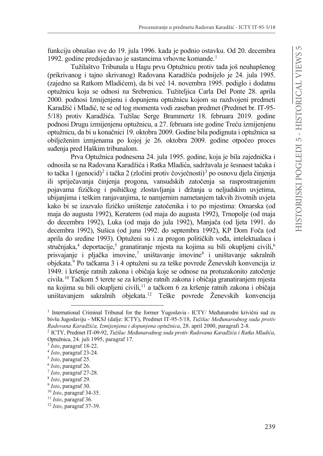funkciju obnašao sve do 19. jula 1996. kada je podnio ostavku. Od 20. decembra 1992. godine predsjedavao je sastancima vrhovne komande.<sup>1</sup>

Tužilaštvo Tribunala u Hagu prvu Optužnicu protiv tada još neuhapšenog (prikrivanog i tajno skrivanog) Radovana Karadžića podnijelo je 24. jula 1995. (zajedno sa Ratkom Mladićem), da bi već 14. novembra 1995. podiglo i dodatnu optužnicu koja se odnosi na Srebrenicu. Tužiteljica Carla Del Ponte 28. aprila 2000. podnosi Izmijenjenu i dopunjenu optužnicu kojom su razdvojeni predmeti Karadžić i Mladić, te se od tog momenta vodi zaseban predmet (Predmet br. IT-95-5/18) protiv Karadžića. Tužilac Serge Brammertz 18. februara 2019. godine podnosi Drugu izmijenjenu optužnicu, a 27. februara iste godine Treću izmijenjenu optužnicu, da bi u konačnici 19. oktobra 2009. Godine bila podignuta i optužnica sa obilježenim izmjenama po kojoj je 26. oktobra 2009. godine otpočeo proces suđenia pred Haškim tribunalom.

Prva Optužnica podnesena 24. jula 1995. godine, koja je bila zajednička i odnosila se na Radovana Karadžića i Ratka Mladića, sadržavala je šesnaest tačaka i to tačka 1 (genocid)<sup>2</sup> i tačka 2 (zločini protiv čovječnosti)<sup>3</sup> po osnovu djela činjenja ili spriječavanja činjenja progona, vansudskih zatočenja sa rasprostranjenim pojavama fizičkog i psihičkog zlostavljanja i držanja u neljudskim uvjetima, ubijanjima i teškim ranjavanjima, te namjernim nametanjem takvih životnih uvjeta kako bi se izazvalo fizičko uništenje zatočenika i to po mjestima: Omarska (od maja do augusta 1992), Keraterm (od maja do augusta 1992), Trnopolje (od maja do decembra 1992), Luka (od maja do jula 1992), Manjača (od ljeta 1991. do decembra 1992), Sušica (od juna 1992. do septembra 1992), KP Dom Foča (od aprila do sredine 1993). Optuženi su i za progon političkih vođa, intelektualaca i stručnjaka,<sup>4</sup> deportacije,<sup>5</sup> granatiranje mjesta na kojima su bili okupljeni civili,<sup>6</sup> prisvajanje i pljačka imovine,<sup>7</sup> uništavanje imovine<sup>8</sup> i uništavanje sakralnih objekata.<sup>9</sup> Po tačkama 3 i 4 optuženi su za teške povrede Ženevskih konvencija iz 1949. i kršenje ratnih zakona i običaja koje se odnose na protuzakonito zatočenje civila.<sup>10</sup> Tačkom 5 terete se za kršenje ratnih zakona i običaja granatiranjem mjesta na kojima su bili okupljeni civili,<sup>11</sup> a tačkom 6 za kršenje ratnih zakona i običaja uništavanjem sakralnih objekata.12 Teške povrede Ženevskih konvencija

<sup>&</sup>lt;sup>1</sup> International Criminal Tribunal for the former Yugoslavia - ICTY/ Međunarodni krivični sud za bivšu Jugoslaviju - MKSJ (dalje: ICTY), Predmet IT-95-5/18, *Tužilac Međunarodnog suda protiv 5DGRYDQD.DUDGåLüDIzmijenjena i dopunjena optužnica*, 28. april 2000, paragrafi 2-8.

<sup>&</sup>lt;sup>2</sup> ICTY, Predmet IT-09-92, *Tužilac Međunarodnog suda protiv Radovana Karadžića i Ratka Mladića*, Optužnica, 24. juli 1995, paragraf 17.

<sup>3</sup> *Isto*, paragraf 18-22.

<sup>4</sup> *Isto*, paragraf 23-24.

<sup>5</sup> *Isto*, paragraf 25.

<sup>6</sup> *Isto*, paragraf 26.

<sup>7</sup> *Isto*, paragraf 27-28.

<sup>8</sup> *Isto*, paragraf 29.

<sup>9</sup> *Isto*, paragraf 30.

<sup>10</sup> *Isto*, paragraf 34-35.

<sup>11</sup> *Isto*, paragraf 36.

<sup>12</sup> *Isto*, paragraf 37-39.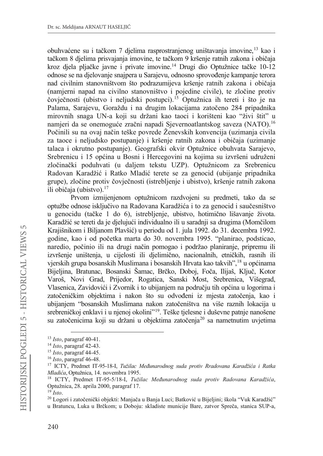obuhvaćene su i tačkom 7 dielima rasprostranjenog uništavanja imovine.<sup>13</sup> kao i tačkom 8 djelima prisvajanja imovine, te tačkom 9 kršenje ratnih zakona i običaja kroz djela pljačke javne i private imovine.<sup>14</sup> Drugi dio Optužnice tačke 10-12 odnose se na djelovanje snajpera u Sarajevu, odnosno sprovođenje kampanje terora nad civilnim stanovništvom što podrazumijeva kršenje ratnih zakona i običaja (namjerni napad na civilno stanovništvo i pojedine civile), te zločine protiv čovječnosti (ubistvo i neljudski postupci).<sup>15</sup> Optužnica ih tereti i što je na Palama, Sarajevu, Goraždu i na drugim lokacijama zatočeno 284 pripadnika mirovnih snaga UN-a koji su držani kao taoci i korišteni kao "živi štit" u namieri da se onemoguće zračni napadi Sjevernoatlantskog saveza (NATO).<sup>16</sup> Počinili su na ovaj način teške povrede Ženevskih konvencija (uzimanja civila za taoce i neljudsko postupanje) i kršenje ratnih zakona i običaja (uzimanje talaca i okrutno postupanje). Geografski okvir Optužnice obuhvata Sarajevo, Srebrenicu i 15 općina u Bosni i Hercegovini na kojima su izvršeni udruženi zločinački poduhvati (u daljem tekstu UZP). Optužnicom za Srebrenicu Radovan Karadžić i Ratko Mladić terete se za genocid (ubijanje pripadnika grupe), zločine protiv čovječnosti (istrebljenje i ubistvo), kršenje ratnih zakona ili običaja (ubistvo).<sup>17</sup>

Prvom izmijenjenom optužnicom razdvojeni su predmeti, tako da se optužbe odnose isključivo na Radovana Karadžića i to za genocid i saučesništvo u genocidu (tačke 1 do 6), istrebljenje, ubistvo, hotimično lišavanje života. Karadžić se tereti da je djelujući individualno ili u saradnji sa drugima (Momčilom Krajišnikom i Biljanom Plavšić) u periodu od 1. jula 1992. do 31. decembra 1992. godine, kao i od početka marta do 30. novembra 1995. "planirao, podsticao, naredio, počinio ili na drugi način pomogao i podržao planiranje, pripremu ili izvršenje uništenja, u cijelosti ili djelimično, nacionalnih, etničkih, rasnih ili vjerskih grupa bosanskih Muslimana i bosanskih Hrvata kao takvih",<sup>18</sup> u općinama Bijeljina, Bratunac, Bosanski Šamac, Brčko, Doboj, Foča, Ilijaš, Ključ, Kotor Varoš, Novi Grad, Prijedor, Rogatica, Sanski Most, Srebrenica, Višegrad, Vlasenica, Zavidovići i Zvornik i to ubijanjem na području tih općina u logorima i zatočeničkim objektima i nakon što su odvođeni iz mjesta zatočenja, kao i ubijanjem "bosanskih Muslimana nakon zatočeništva na više raznih lokacija u srebreničkoj enklavi i u njenoj okolini"<sup>19</sup>. Teške tjelesne i duševne patnje nanošene su zatočenicima koji su držani u objektima zatočenja<sup>20</sup> sa nametnutim uvjetima

 $13$  Isto, paragraf 40-41.

 $14$  Isto, paragraf 42-43.

 $15$  Isto, paragraf 44-45.

 $16$  Isto, paragraf 46-48.

<sup>&</sup>lt;sup>17</sup> ICTY, Predmet IT-95-18-I, Tužilac Međunarodnog suda protiv Rradovana Karadžića i Ratka Mladića, Optužnica, 14. novembra 1995.

<sup>&</sup>lt;sup>18</sup> ICTY, Predmet IT-95-5/18-I, Tužilac Međunarodnog suda protiv Radovana Karadžića, Optužnica, 28. aprila 2000, paragraf 17.

 $^{19}$  Isto.

<sup>&</sup>lt;sup>20</sup> Logori i zatočenički objekti: Manjača u Banja Luci; Batković u Bijeljini; škola "Vuk Karadžić"

u Bratuncu, Luka u Brčkom; u Doboju: skladiste municije Bare, zatvor Spreča, stanica SUP-a,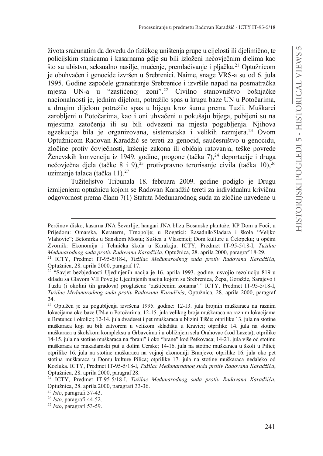života sračunatim da dovedu do fizičkog uništenia grupe u cijelosti ili dielimično, te policijskim stanicama i kasarnama gdje su bili izloženi nečovječnim djelima kao što su ubistvo, seksualno nasilje, mučenje, premlaćivanje i pljačka.<sup>21</sup> Optužnicom je obuhvaćen i genocide izvršen u Srebrenici. Naime, snage VRS-a su od 6. jula 1995. Godine započele granatiranje Srebrenice i izvršile napad na posmatračka mjesta UN-a u "zastićenoj zoni".<sup>22</sup> Civilno stanovništvo bošnjačke nacionalnosti je, jednim dijelom, potražilo spas u krugu baze UN u Potočarima, a drugim dijelom potražilo spas u bijegu kroz šumu prema Tuzli. Muškarci zarobljeni u Potočarima, kao i oni uhvaćeni u pokušaju bijega, pobijeni su na miestima zatočenja ili su bili odvezeni na mjesta pogubljenja. Njihova egzekucija bila je organizovana, sistematska i velikih razmjera.<sup>23</sup> Ovom Optužnicom Radovan Karadžić se tereti za genocid, saučesništvo u genocidu, zločine protiv čoviečnosti, kršenie zakona ili običaja ratovania, teške povrede Ženevskih konvencija iz 1949. godine, progone (tačka 7),<sup>24</sup> deportacije i druga nečovječna djela (tačke 8 i 9), <sup>25</sup> protivpravno terorisanje civila (tačka 10), <sup>26</sup> uzimanje talaca (tačka 11). $^{27}$ 

Tužiteljstvo Tribunala 18. februara 2009. godine podiglo je Drugu izmijenjenu optužnicu kojom se Radovan Karadžić tereti za individualnu krivičnu odgovornost prema članu 7(1) Statuta Međunarodnog suda za zločine navedene u

Perčinov disko, kasarna JNA Ševarlije, hangari JNA blizu Bosanske plantaže; KP Dom u Foči; u Prijedoru: Omarska, Keraterm, Trnopolje; u Rogatici: Rasadnik/Sladara i škola "Veljko Vlahovic"; Betonirka u Sanskom Mostu; Sušica u Vlasenici; Dom kulture u Čelopeku; u općini Zvornik: Ekonomija i Tehnička škola u Karakaju. ICTY, Predmet IT-95-5/18-I, Tužilac Međunarodnog suda protiv Radovana Karadžića, Optužnica, 28. aprila 2000, paragraf 18-29.

<sup>&</sup>lt;sup>21</sup> ICTY, Predmet IT-95-5/18-I, Tužilac Međunarodnog suda protiv Radovana Karadžića, Optužnica, 28. aprila 2000, paragraf 17.

<sup>&</sup>lt;sup>22</sup> "Saviet bezbiednosti Ujedinjenih nacija je 16. aprila 1993. godine, usvojio rezoluciju 819 u skladu sa Glavom VII Povelje Ujedinjenih nacija kojom su Srebrenica, Žepa, Goražde, Sarajevo i Tuzla (i okolini tih gradova) proglašene 'zaštićenim zonama'." ICTY, Predmet IT-95-5/18-I, Tužilac Međunarodnog suda protiv Radovana Karadžića, Optužnica, 28. aprila 2000, paragraf 24.

<sup>&</sup>lt;sup>23</sup> Optužen je za pogubljenja izvršena 1995. godine: 12-13. jula brojnih muškaraca na raznim lokacijama oko baze UN-a u Potočarima; 12-15. jula velikog broja muškaraca na raznim lokacijama u Bratuncu i okolici; 12-14. jula dvadeset i pet muškaraca u blizini Tišće; otprilike 13. jula na stotine muškaraca koji su bili zatvoreni u velikom skladištu u Kravici; otprilike 14. jula na stotine muškaraca u školskom kompleksu u Grbavcima i u obližnjem selu Orahovac (kod Lazeta); otprilike 14-15. jula na stotine muškaraca na "brani" i oko "brane" kod Petkovaca; 14-21. jula više od stotinu muškaraca uz makadamski put u dolini Cerske; 14-16. jula na stotine muškaraca u školi u Pilici; otprilike 16. jula na stotine muškaraca na vojnoj ekonomiji Branjevo; otprilike 16. jula oko pet stotina muškaraca u Domu kulture Pilica; otprilike 17. jula na stotine muškaraca nedaleko od Kozluka. ICTY, Predmet IT-95-5/18-I, Tužilac Međunarodnog suda protiv Radovana Karadžića, Optužnica, 28. aprila 2000, paragraf 28.

<sup>&</sup>lt;sup>24</sup> ICTY, Predmet IT-95-5/18-I, Tužilac Međunarodnog suda protiv Radovana Karadžića, Optužnica, 28. aprila 2000, paragrafi 33-36.

 $25$  Isto, paragrafi 37-43.

 $26$  Isto, paragrafi 44-52.

 $27$  Isto, paragrafi 53-59.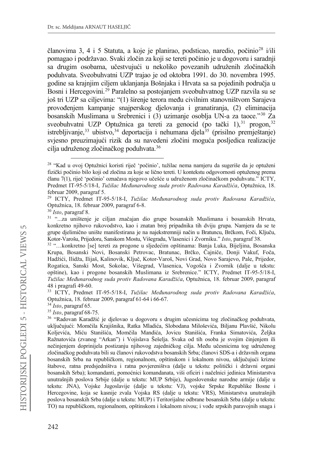članovima 3, 4 i 5 Statuta, a koje je planirao, podsticao, naredio, počinio<sup>28</sup> i/ili pomagao i podržavao. Svaki zločin za koji se tereti počinio je u dogovoru i saradnji sa drugim osobama, učestvujući u nekoliko povezanih udruženih zločinačkih poduhvata. Sveobuhvatni UZP trajao je od oktobra 1991. do 30. novembra 1995. godine sa krajnjim ciljem uklanjanja Bošnjaka i Hrvata sa sa pojedinih područja u Bosni i Hercegovini.<sup>29</sup> Paralelno sa postojanjem sveobuhvatnog UZP razvila su se još tri UZP sa ciljevima: "(1) širenje terora među civilnim stanovništvom Sarajeva provoÿenjem kampanje snajperskog djelovanja i granatiranja, (2) eliminacija bosanskih Muslimana u Srebrenici i (3) uzimanje osoblja UN-a za taoce."30 Za sveobuhvatni UZP Optužnica ga tereti za genocid (po tački 1),  $31$  progon,  $32$ istrebljivanje,<sup>33</sup> ubistvo,<sup>34</sup> deportacija i nehumana djela<sup>35</sup> (prisilno premještanje) svjesno preuzimajući rizik da su navedeni zločini moguća posljedica realizacije cilja udruženog zločinačkog poduhvata.<sup>36</sup>

<sup>&</sup>lt;sup>28</sup> "Kad u ovoj Optužnici koristi riječ 'počinio', tužilac nema namjeru da sugeriše da je optuženi fizički počinio bilo koji od zločina za koje se lično tereti. U kontekstu odgovornosti optuženog prema članu 7(1), riječ 'počinio' označava njegovo učešće u udruženom zločinačkom poduhvatu." ICTY, Predmet IT-95-5/18-I, *Tužilac Međunarodnog suda protiv Radovana Karadžića*, Optužnica. 18. februar 2009, paragraf 5.

<sup>&</sup>lt;sup>29</sup> ICTY, Predmet IT-95-5/18-I, *Tužilac Međunarodnog suda protiv Radovana Karadžića*, Optužnica, 18. februar 2009, paragraf 6-8.

<sup>30</sup> *Isto*, paragraf 8.

<sup>&</sup>lt;sup>31</sup> "...za uništenje je ciljan značajan dio grupe bosanskih Muslimana i bosanskih Hrvata, konkretno njihovo rukovodstvo, kao i znatan broj pripadnika tih dviju grupa. Namjera da se te grupe djelimično unište manifestirana je na najekstremniji način u Bratuncu, Brčkom, Foči, Ključu, Kotor-Varošu, Prijedoru, Sanskom Mostu, Višegradu, Vlasenici i Zvorniku." *Isto*, paragraf 38.

<sup>32 &</sup>quot;...konkretno [se] tereti za progone u sljedećim opštinama: Banja Luka, Bijeljina, Bosanska Krupa, Bosanski Novi, Bosanski Petrovac, Bratunac, Brčko, Čajniče, Donji Vakuf, Foča, Hadžići, Ilidža, Ilijaš, Kalinovik, Ključ, Kotor-Varoš, Novi Grad, Novo Sarajevo, Pale, Prijedor, Rogatica, Sanski Most, Sokolac, Višegrad, Vlasenica, Vogošća i Zvornik (dalje u tekstu: opštine), kao i progone bosanskih Muslimana iz Srebrenice." ICTY, Predmet IT-95-5/18-I, *Tužilac Međunarodnog suda protiv Radovana Karadžića*, Optužnica, 18. februar 2009, paragraf 48 i pragrafi 49-60.

<sup>33</sup> ICTY, Predmet IT-95-5/18-I, *Tužilac Međunarodnog suda protiv Radovana Karadžića*, Optužnica, 18. februar 2009, paragraf 61-64 i 66-67.

<sup>34</sup> *Isto*, paragraf 65.

<sup>35</sup> *Isto*, paragraf 68-75.

<sup>&</sup>lt;sup>36</sup> "Radovan Karadžić je djelovao u dogovoru s drugim učesnicima tog zločinačkog poduhvata, uključujući: Momčila Krajišnika, Ratka Mladića, Slobodana Miloševića, Biljanu Plavšić, Nikolu Koljevića, Miću Stanišića, Momčila Mandića, Jovicu Stanišića, Franka Simatovića, Željka Ražnatovića (zvanog "Arkan") i Vojislava Šešelja. Svaka od tih osoba je svojim činjenjem ili nečinjenjem doprinijela postizanju njihovog zajedničkog cilja. Među učesnicima tog udruženog zločinačkog poduhvata bili su članovi rukovodstva bosanskih Srba; članovi SDS-a i državnih organa bosanskih Srba na republičkom, regionalnom, opštinskom i lokalnom nivou, uključujući krizne štabove, ratna predsjedništva i ratna povjereništva (dalje u tekstu: politički i državni organi bosanskih Srba); komandanti, pomoćnici komandanata, viši oficiri i načelnici jedinica Ministarstva unutrašnjih poslova Srbije (dalje u tekstu: MUP Srbije), Jugoslovenske narodne armije (dalje u tekstu: JNA), Vojske Jugoslavije (dalje u tekstu: VJ), vojske Srpske Republike Bosne i Hercegovine, koja se kasnije zvala Vojska RS (dalje u tekstu: VRS), Ministarstva unutrašnjih poslova bosanskih Srba (dalje u tekstu: MUP) i Teritorijalne odbrane bosanskih Srba (dalje u tekstu: TO) na republičkom, regionalnom, opštinskom i lokalnom nivou; i vođe srpskih paravojnih snaga i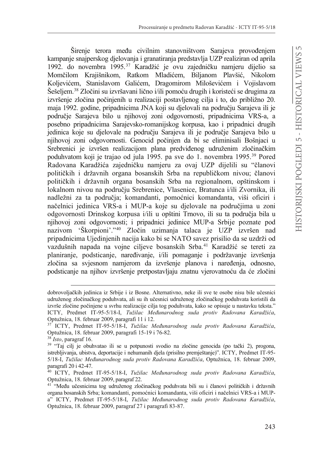Širenie terora među civilnim stanovništvom Sarajeva provođeniem kampanje snajperskog djelovanja i granatiranja predstavlja UZP realiziran od aprila 1992. do novembra 1995.<sup>37</sup> Karadžić je ovu zajedničku namjeru dijelio sa Momčilom Krajišnikom, Ratkom Mladićem, Biljanom Plavšić, Nikolom Kolievićem, Stanislavom Galićem, Dragomirom Miloševićem i Vojislavom Šešeljem.<sup>38</sup> Zločini su izvršavani lično i/ili pomoću drugih i koristeći se drugima za izvršenje zločina počinjenih u realizaciji postavljenog cilja i to, do približno 20. maja 1992. godine, pripadnicima JNA koji su djelovali na području Sarajeva ili je područje Sarajeva bilo u njihovoj zoni odgovornosti, pripadnicima VRS-a, a posebno pripadnicima Sarajevsko-romanijskog korpusa, kao i pripadnici drugih jedinica koje su djelovale na području Sarajeva ili je područje Sarajeva bilo u njihovoj zoni odgovornosti. Genocid počinjen da bi se eliminisali Bošnjaci u Srebrenici je izvršen realizacijom plana predviđenog udruženim zločinačkim poduhvatom koji je trajao od jula 1995. pa sve do 1. novembra 1995.<sup>39</sup> Pored Radovana Karadžića zajedničku namjeru za ovaj UZP dijelili su "članovi političkih i državnih organa bosanskih Srba na republičkom nivou; članovi političkih i državnih organa bosanskih Srba na regionalnom, opštinskom i lokalnom nivou na području Srebrenice, Vlasenice, Bratunca i/ili Zvornika, ili nadležni za ta područja; komandanti, pomoćnici komandanta, viši oficiri i načelnici jedinica VRS-a i MUP-a koje su djelovale na područjima u zoni odgovornosti Drinskog korpusa i/ili u opštini Trnovo, ili su ta područja bila u njihovoj zoni odgovornosti; i pripadnici jedinice MUP-a Srbije poznate pod nazivom 'Škorpioni'."<sup>40</sup> Zločin uzimanja talaca je UZP izvršen nad pripadnicima Ujedinjenih nacija kako bi se NATO savez prisilio da se uzdrži od vazdušnih napada na vojne ciljeve bosanskih Srba.<sup>41</sup> Karadžić se tereti za planiranje, podsticanje, naređivanje, i/ili pomaganje i podržavanje izvršenja zločina sa svjesnom namjerom da izvršenje planova i naređenja, odnosno, podsticanje na njihov izvršenje pretpostavljaju znatnu vjerovatnoću da će zločini

dobrovoljačkih jedinica iz Srbije i iz Bosne. Alternativno, neke ili sve te osobe nisu bile učesnici udruženog zločinačkog poduhvata, ali su ih učesnici udruženog zločinačkog poduhvata koristili da izvrše zločine počinjene u svrhu realizacije cilja tog poduhvata, kako se opisuje u nastavku teksta." ICTY, Predmet IT-95-5/18-I, *Tužilac Međunarodnog suda protiv Radovana Karadžića*, Optužnica, 18. februar 2009, paragrafi 11 i 12.

<sup>&</sup>lt;sup>37</sup> ICTY, Predmet IT-95-5/18-I, *Tužilac Međunarodnog suda protiv Radovana Karadžića*, Optužnica, 18. februar 2009, paragrafi 15-19 i 76-82.

<sup>38</sup> *Isto*, paragraf 16.

<sup>&</sup>lt;sup>39</sup> "Taj cilj je obuhvatao ili se u potpunosti svodio na zločine genocida (po tački 2), progona, istrebljivanja, ubistva, deportacije i nehumanih djela (prisilno premještanje)". ICTY, Predmet IT-95-5/18-I, *Tužilac Međunarodnog suda protiv Radovana Karadžića*, Optužnica, 18. februar 2009, paragrafi 20 i 42-47.

<sup>&</sup>lt;sup>40</sup> ICTY, Predmet IT-95-5/18-I, *Tužilac Međunarodnog suda protiv Radovana Karadžića*, Optužnica, 18. februar 2009, paragraf 22.

<sup>&</sup>lt;sup>41</sup> "Među učesnicima tog udruženog zločinačkog poduhvata bili su i članovi političkih i državnih organa bosanskih Srba; komandanti, pomoćnici komandanta, viši oficiri i načelnici VRS-a i MUPa" ICTY, Predmet IT-95-5/18-I, *Tužilac Međunarodnog suda protiv Radovana Karadžića*, Optužnica, 18. februar 2009, paragraf 27 i paragrafi 83-87.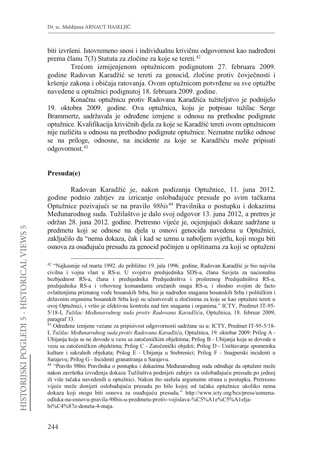biti izvršeni. Istovremeno snosi i individualnu krivičnu odgovornost kao nadređeni prema članu 7(3) Statuta za zločine za koje se tereti.<sup>42</sup>

Trećom izmijenjenom optužnicom podignutom 27. februara 2009. godine Radovan Karadžić se tereti za genocid, zločine protiv čovječnosti i kršenje zakona i običaja ratovanja. Ovom optužnicom potvrđene su sve optužbe navedene u optužnici podignutoj 18. februara 2009. godine.

Konačnu optužnicu protiv Radovana Karadžića tužiteljstvo je podnijelo 19. oktobra 2009. godine. Ova optužnica, koju je potpisao tužilac Serge Brammertz, sadržavala je određene izmjene u odnosu na prethodne podignute optužnice. Kvalifikacija krivičnih djela za koje se Karadžić tereti ovom optužnicom nije različita u odnosu na prethodno podignute optužnice. Neznatne razlike odnose se na priloge, odnosne, na incidente za koje se Karadžiću može pripisati odgovornost.43

#### **Presuda(e)**

Radovan Karadžić je, nakon podizanja Optužnice, 11. juna 2012. godine podnio zahtjev za izricanje oslobađajuće presude po svim tačkama Optužnice pozivajući se na pravilo 98bis<sup>44</sup> Pravilnika o postupku i dokazima Međunarodnog suda. Tužilaštvo je dalo svoj odgovor 13. juna 2012, a pretres je održan 28. juna 2012. godine. Pretresno vijeće je, ocjenjujući dokaze sadržane u predmetu koji se odnose na djela u osnovi genocida navedena u Optužnici, zaključilo da "nema dokaza, čak i kad se uzmu u naboljem svjetlu, koji mogu biti osnova za osuđujuću presudu za genocid počinjen u opštinama za koji se optuženi

<sup>&</sup>lt;sup>42</sup> "Najkasnije od marta 1992. do približno 19. jula 1996. godine, Radovan Karadžić je bio najviša civilna i vojna vlast u RS-u. U svojstvu predsjednika SDS-a, člana Savjeta za nacionalnu bezbjednost RS-a, člana i predsjednika Predsjedništva i proširenog Predsjedništva RS-a, predsjednika RS-a i vrhovnog komandanta oružanih snaga RS-a, i shodno svojim de facto ovlaštenjima priznatog vođe bosanskih Srba, bio je nadređen snagama bosanskih Srba i političkim i državnim organima bosanskih Srba koji su učestvovali u zločinima za koje se kao optuženi tereti u ovoj Optužnici, i vršio je efektivnu kontrolu nad tim snagama i organima." ICTY, Predmet IT-95-5/18-I, *Tužilac Međunarodnog suda protiv Radovana Karadžića*, Optužnica, 18. februar 2009, paragraf 33.

<sup>&</sup>lt;sup>43</sup> Određene izmjene vezane za pripisivost odgovornosti sadržane su u: ICTY, Predmet IT-95-5/18-I, *Tužilac Međunarodnog suda protiv Radovana Karadžića*, Optužnica, 19. oktobar 2009: Prilog A -Ubijanja koja se ne dovode u vezu sa zatočeničkim objektima; Prilog B - Ubijanja koja se dovode u vezu sa zatočeničkim objektima; Prilog C - Zatočenički objekti; Prilog D - Uništavanje spomenika kulture i sakralnih objekata; Prilog E - Ubijanja u Srebrenici; Prilog F - Snajperski incidenti u Sarajevu; Prilog G - Incidenti granatiranja u Sarajevu.

<sup>&</sup>lt;sup>44</sup> "Pravilo 98bis Pravilnika o postupku i dokazima Međunarodnog suda određuje da optuženi može nakon završetka izvođenja dokaza Tužilaštva podnijeti zahtjev za oslobađajuću presudu po jednoj ili više tačaka navedenih u optužnici. Nakon što sasluša argumente strana u postupku, Pretresno vijeće može donijeti oslobađajuću presudu po bilo kojoj od tačaka optužnice ukoliko nema dokaza koji mogu biti osnova za osuđujuću presudu." http://www.icty.org/bcs/press/usmenaodluka-na-osnovu-pravila-98bis-u-predmetu-protiv-vojislava-%C5%A1e%C5%A1eljabi%C4%87e-doneta-4-maja.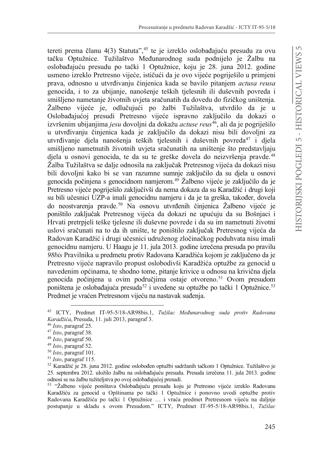tereti prema članu 4(3) Statuta",<sup>45</sup> te je izreklo oslobađajuću presudu za ovu tačku Optužnice. Tužilaštvo Međunarodnog suda podnijelo je Žalbu na oslobađajuću presudu po tački 1 Optužnice, koju je 28. juna 2012. godine usmeno izreklo Pretresno vijeće, ističući da je ovo vijeće pogriješilo u primjeni SUDYD RGQRVQR X XWYUÿLYDQMX þLQMenica kada se bavilo pitanjem *actusa reusa* genocida, i to za ubijanje, nanošenje teških tjelesnih ili duševnih povreda i smišljeno nametanje životnih uvjeta sračunatih da dovedu do fizičkog uništenja. Žalbeno vijeće je, odlučujući po žalbi Tužilaštva, utvrdilo da je u Oslobađajućoj presudi Pretresno vijeće ispravno zaključilo da dokazi o izvršenim ubijanjima *jesu* dovoljni da dokažu *actuse reus*46, ali da je pogriješilo u utvrđivanju činjenica kada je zaključilo da dokazi nisu bili dovoljni za utvrđivanje djela nanošenja teških tjelesnih i duševnih povreda<sup>47</sup> i djela smišljeno nametnutih životnih uvjeta sračunatih na uništenje što predstavljaju djela u osnovi genocida, te da su te greške dovela do neizvršenja pravde.<sup>48</sup> Žalba Tužilaštva se dalje odnosila na zaključak Pretresnog vijeća da dokazi nisu bili dovoljni kako bi se van razumne sumnje zaključilo da su djela u osnovi genocida počinjena s genocidnom namjerom.<sup>49</sup> Žalbeno vijeće je zaključilo da je Pretresno vijeće pogriješilo zaključivši da nema dokaza da su Karadžić i drugi koji su bili učesnici UZP-a imali genocidnu namjeru i da je ta greška, također, dovela do neostvarenja pravde.<sup>50</sup> Na osnovu utvrđenih činjenica Žalbeno vijeće je poništilo zaključak Pretresnog vijeća da dokazi ne upućuju da su Bošnjaci i Hrvati pretrpjeli teške tjelesne ili duševne povrede i da su im nametnuti životni uslovi sračunati na to da ih unište, te poništilo zaključak Pretresnog vijeća da Radovan Karadžić i drugi učesnici udruženog zločinačkog poduhvata nisu imali genocidnu namjeru. U Haagu je 11. jula 2013. godine izrečena presuda po pravilu 98bis Pravilnika u predmetu protiv Radovana Karadžića kojom je zaključeno da je Pretresno vijeće napravilo propust oslobodivši Karadžića optužbe za genocid u navedenim općinama, te shodno tome, pitanje krivice u odnosu na krivična djela genocida počinjena u ovim područjima ostaje otvoreno.<sup>51</sup> Ovom presudom poništena je oslobađajuća presuda<sup>52</sup> i uvedene su optužbe po tački 1 Optužnice.<sup>53</sup> Predmet je vraćen Pretresnom vijeću na nastavak suđenja.

<sup>&</sup>lt;sup>45</sup> ICTY, Predmet IT-95-5/18-AR98bis.1, *Tužilac Međunarodnog suda protiv Radovana .DUDGåLüD*, Presuda, 11. juli 2013, paragraf 3.

<sup>46</sup> *Isto*, paragraf 25.

<sup>47</sup> *Isto*, paragraf 38.

<sup>48</sup> *Isto*, paragraf 50.

<sup>49</sup> *Isto*, paragraf 52.

<sup>50</sup> *Isto*, paragraf 101.

<sup>51</sup> *Isto*, paragraf 115.

 $52$  Karadžić je 28. juna 2012. godine oslobođen optužbi sadržanih tačkom 1 Optužnice. Tužilaštvo je 25. septembra 2012. uložilo žalbu na oslobađajuću presudu. Presuda izrečena 11. jula 2013. godine odnosi se na žalbu tužiteljstva po ovoj oslobađajućoj presudi.

<sup>53 &</sup>quot;Žalbeno vijeće poništava Oslobađajuću presudu koju je Pretresno vijeće izreklo Radovanu Karadžiću za genocid u Opštinama po tački 1 Optužnice i ponovno uvodi optužbe protiv Radovana Karadžića po tački 1 Optužnice ... i vraća predmet Pretresnom vijeću na daljnje postupanje u skladu s ovom Presudom." ICTY, Predmet IT-95-5/18-AR98bis.1, *Tužilac*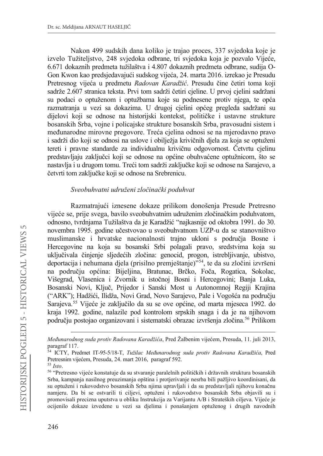Nakon 499 sudskih dana koliko je trajao proces, 337 svjedoka koje je izvelo Tužiteljstvo, 248 svjedoka odbrane, tri svjedoka koja je pozvalo Vijeće, 6.671 dokaznih predmeta tužilaštva i 4.807 dokaznih predmeta odbrane, sudija O-Gon Kwon kao predsjedavajući sudskog vijeća, 24. marta 2016. izrekao je Presudu Pretresnog vijeća u predmetu *Radovan Karadžić*. Presudu čine četiri toma koji sadrže 2.607 stranica teksta. Prvi tom sadrži četiri cjeline. U prvoj cjelini sadržani su podaci o optuženom i optužbama koje su podnesene protiv njega, te opća razmatranja u vezi sa dokazima. U drugoj cjelini općeg pregleda sadržani su dijelovi koji se odnose na historijski kontekst, političke i ustavne strukture bosanskih Srba, vojne i policajske strukture bosanskih Srba, pravosudni sistem i međunarodne mirovne pregovore. Treća cjelina odnosi se na mjerodavno pravo i sadrži dio koji se odnosi na uslove i obilježja krivičnih djela za koja se optuženi tereti i pravne standarde za individualnu krivičnu odgovornost. Četvrtu cielinu predstavljaju zaključci koji se odnose na općine obuhvaćene optužnicom, što se nastavlja i u drugom tomu. Treći tom sadrži zaključke koji se odnose na Sarajevo, a četvrti tom zaključke koji se odnose na Srebrenicu.

#### $Sveobuhvatni udruženi zločinački poduhvat$

Razmatrajući iznesene dokaze prilikom donošenja Presude Pretresno vijeće se, prije svega, bavilo sveobuhvatnim udruženim zločinačkim poduhvatom, odnosno, tvrdnjama Tužilaštva da je Karadžić "najkasnije od oktobra 1991. do 30. novembra 1995. godine učestvovao u sveobuhvatnom UZP-u da se stanovništvo muslimanske i hrvatske nacionalnosti trajno ukloni s područja Bosne i Hercegovine na koja su bosanski Srbi polagali pravo, sredstvima koja su uključivala činjenje sljedećih zločina: genocid, progon, istrebljivanje, ubistvo, deportacija i nehumana djela (prisilno premještanje)"<sup>54</sup>, te da su zločini izvršeni na području općina: Bijeljina, Bratunac, Brčko, Foča, Rogatica, Sokolac, Višegrad, Vlasenica i Zvornik u istočnoj Bosni i Hercegovini; Banja Luka, Bosanski Novi, Ključ, Prijedor i Sanski Most u Autonomnoj Regiji Krajina ("ARK"); Hadžići, Ilidža, Novi Grad, Novo Sarajevo, Pale i Vogošća na području Sarajeva.<sup>55</sup> Vijeće je zaključilo da su se ove općine, od marta mjeseca 1992. do kraja 1992. godine, nalazile pod kontrolom srpskih snaga i da je na njihovom području postojao organizovani i sistematski obrazac izvršenja zločina.<sup>56</sup> Prilikom

*Međunarodnog suda protiv Radovana Karadžića*, Pred Žalbenim vijećem, Presuda, 11. juli 2013, paragraf 117.

<sup>54</sup> ICTY, Predmet IT-95-5/18-T, *Tužilac Međunarodnog suda protiv Radovana Karadžića*, Pred Pretresnim vijećem, Presuda, 24. mart 2016, paragraf 592.

<sup>55</sup> *Isto*.

<sup>&</sup>lt;sup>56</sup> "Pretresno vijeće konstatuje da su stvaranje paralelnih političkih i državnih struktura bosanskih Srba, kampanja nasilnog preuzimanja opština i protjerivanje nesrba bili pažljivo koordinisani, da su optuženi i rukovodstvo bosanskih Srba njima upravljali i da su predstavljali njihovu konačnu namjeru. Da bi se ostvarili ti ciljevi, optuženi i rukovodstvo bosanskih Srba objavili su i promovisali precizna uputstva u obliku Instrukcija za Varijantu A/B i Strateških ciljeva. Vijeće je ocijenilo dokaze izvedene u vezi sa djelima i ponašanjem optuženog i drugih navodnih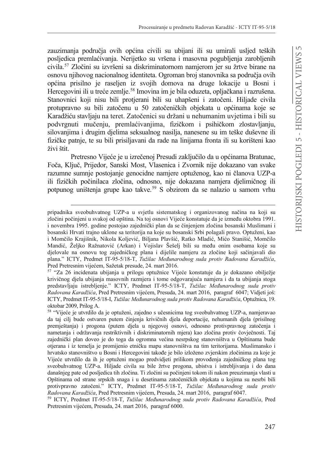zauzimania područia ovih općina civili su ubijani ili su umirali usljed teških posljedica premlaćivanja. Nerijetko su vršena i masovna pogubljenja zarobljenih civila.<sup>57</sup> Zločini su izvršeni sa diskriminatornom namjerom jer su žrtve birane na osnovu njihovog nacionalnog identiteta. Ogroman broj stanovnika sa područja ovih općina prisilno je raseljen iz svojih domova na druge lokacije u Bosni i Hercegovini ili u treće zemlje.<sup>58</sup> Imovina im je bila oduzeta, opljačkana i razrušena. Stanovnici koji nisu bili protjerani bili su uhapšeni i zatočeni. Hiljade civila protupravno su bili zatočenu u 50 zatočeničkih objekata u općinama koje se Karadžiću stavljaju na teret. Zatočenici su držani u nehumanim uvjetima i bili su podvrgnuti mučenju, premlaćivanjima, fizičkom i psihičkom zlostavljanju, silovanjima i drugim djelima seksualnog nasilja, nanesene su im teške duševne ili fizičke patnje, te su bili prisiljavani da rade na linijama fronta ili su korišteni kao živi štit.

Pretresno Vijeće je u izrečenoj Presudi zaključilo da u općinama Bratunac, Foča, Ključ, Prijedor, Sanski Most, Vlasenica i Zvornik nije dokazano van svake razumne sumnje postojanje genocidne namjere optuženog, kao ni članova UZP-a ili fizičkih počinilaca zločina, odnosno, nije dokazana namjera djelimičnog ili potpunog uništenja grupe kao takve.59 S obzirom da se nalazio u samom vrhu

pripadnika sveobuhvatnog UZP-a u svjetlu sistematskog i organizovanog načina na koji su zločini počinjeni u svakoj od opština. Na toj osnovi Vijeće konstatuje da je između oktobra 1991. i novembra 1995. godine postojao zajednički plan da se činjenjem zločina bosanski Muslimani i bosanski Hrvati trajno uklone sa teritorija na koje su bosanski Srbi polagali pravo. Optuženi, kao i Momčilo Krajišnik, Nikola Koljević, Biljana Plavšić, Ratko Mladić, Mićo Stanišić, Momčilo Mandić, Željko Ražnatović (Arkan) i Vojislav Šešelj bili su među onim osobama koje su djelovale na osnovu tog zajedničkog plana i dijelile namjeru za zločine koji sačinjavali dio plana." ICTY, Predmet IT-95-5/18-T, *Tužilac Međunarodnog suda protiv Radovana Karadžića*, Pred Pretresnim vijećem, Sažetak presude, 24. mart 2016.

<sup>57 &</sup>quot;Za 26 incidenata ubijanja u prilogu optužnice Vijeće konstatuje da je dokazano obilježje krivičnog djela ubijanja masovnih razmjera i tome odgovarajuća namjera i da ta ubijanja stoga predstavljaju istrebljenje." ICTY, Predmet IT-95-5/18-T, *Tužilac Međunarodnog suda protiv Radovana Karadžića*, Pred Pretresnim vijećem, Presuda, 24. mart 2016, paragraf 6047; Vidjeti još: ICTY, Predmet IT-95-5/18-I, *Tužilac Međunarodnog suda protiv Radovana Karadžića*, Optužnica, 19. oktobar 2009, Prilog A.

<sup>&</sup>lt;sup>58</sup> "Vijeće je utvrdilo da je optuženi, zajedno s učesnicima tog sveobuhvatnog UZP-a, namjeravao da taj cilj bude ostvaren putem činjenja krivičnih djela deportacije, nehumanih djela (prisilnog premještanja) i progona (putem djela u njegovoj osnovi, odnosno protivpravnog zatočenja i nametanja i održavanja restriktivnih i diskriminatornih mjera) kao zločina protiv čovječnosti. Taj zajednički plan doveo je do toga da ogromna većina nesrpskog stanovništva u Opštinama bude otjerana i iz temelja je promijenio etničku mapu stanovništva na tim teritorijama. Muslimansko i hrvatsko stanovništvo u Bosni i Hercegovini takođe je bilo izloženo zvjerskim zločinima za koje je Vijeće utvrdilo da ih je optuženi mogao predvidjeti prilikom provođenja zajedničkog plana tog sveobuhvatnog UZP-a. Hiljade civila su bile žrtve progona, ubistva i istrebljivanja i do dana današnjeg pate od posljedica tih zločina. Ti zločini su počinjeni tokom ili nakon preuzimanja vlasti u Opštinama od strane srpskih snaga i u desetinama zatočeničkih objekata u kojima su nesrbi bili protivpravno zatočeni." ICTY, Predmet IT-95-5/18-T, *Tužilac Međunarodnog suda protiv Radovana Karadžića*, Pred Pretresnim vijećem, Presuda, 24. mart 2016, paragraf 6047.

<sup>&</sup>lt;sup>59</sup> ICTY, Predmet IT-95-5/18-T, *Tužilac Međunarodnog suda protiv Radovana Karadžića*, Pred Pretresnim vijećem, Presuda, 24. mart 2016, paragraf 6000.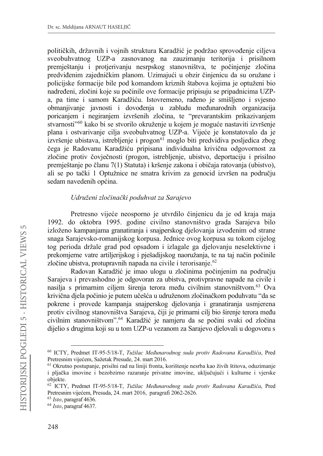političkih, državnih i vojnih struktura Karadžić je podržao sprovođenie cilieva sveobuhvatnog UZP-a zasnovanog na zauzimanju teritorija i prisilnom premještanju i protjerivanju nesrpskog stanovništva, te počinjenje zločina predviđenim zajedničkim planom. Uzimajući u obzir činjenicu da su oružane i policijske formacije bile pod komandom kriznih štabova kojima je optuženi bio nadređeni, zločini koje su počinile ove formacije pripisuju se pripadnicima UZPa, pa time i samom Karadžiću. Istovremeno, rađeno je smišljeno i svjesno obmanjivanje javnosti i dovođenja u zabludu međunarodnih organizacija poricanjem i negiranjem izvršenih zločina, te "prevarantskim prikazivanjem stvarnosti"<sup>60</sup> kako bi se stvorilo okruženje u kojem je moguće nastaviti izvršenje plana i ostvarivanje cilja sveobuhvatnog UZP-a. Vijeće je konstatovalo da je izvršenje ubistava, istrebljenje i progon<sup>61</sup> moglo biti predvidiva posljedica zbog čega je Radovanu Karadžiću pripisana individualna krivična odgovornost za zločine protiv čovječnosti (progon, istrebljenje, ubistvo, deportaciju i prisilno premještanje po članu 7(1) Statuta) i kršenje zakona i običaja ratovanja (ubistvo), ali se po tački 1 Optužnice ne smatra krivim za genocid izvršen na područiu sedam navedenih općina.

#### Udruženi zločinački poduhvat za Sarajevo

Pretresno vijeće neosporno je utvrdilo činjenicu da je od kraja maja 1992. do oktobra 1995. godine civilno stanovništvo grada Sarajeva bilo izloženo kampanjama granatiranja i snajperskog djelovanja izvođenim od strane snaga Sarajevsko-romanijskog korpusa. Jednice ovog korpusa su tokom cijelog tog perioda držale grad pod opsadom i izlagale ga djelovanju neselektivne i prekomjerne vatre artiljerijskog i pješadijskog naoružanja, te na taj način počinile zločine ubistva, protupravnih napada na civile i terorisanje.<sup>62</sup>

Radovan Karadžić je imao ulogu u zločinima počinjenim na području Sarajeva i prevashodno je odgovoran za ubistva, protivpravne napade na civile i nasilja s primarnim ciljem širenja terora među civilnim stanovništvom.<sup>63</sup> Ova krivična djela počinio je putem učešća u udruženom zločinačkom poduhvatu "da se pokrene i provede kampanja snajperskog djelovanja i granatiranja usmjerena protiv civilnog stanovništva Sarajeva, čiji je primarni cilj bio širenje terora među civilnim stanovništvom".<sup>64</sup> Karadžić je namjeru da se počini svaki od zločina dijelio s drugima koji su u tom UZP-u vezanom za Sarajevo djelovali u dogovoru s

 $63$  Isto, paragraf 4636.

<sup>60</sup> ICTY, Predmet IT-95-5/18-T, Tužilac Međunarodnog suda protiv Radovana Karadžića, Pred Pretresnim vijećem, Sažetak Presude, 24. mart 2016.

<sup>&</sup>lt;sup>61</sup> Okrutno postupanje, prisilni rad na liniji fronta, korištenje nesrba kao živih štitova, oduzimanje i pljačka imovine i bezobzirno razaranje privatne imovine, uključujući i kulturne i vjerske objekte.

<sup>62</sup> ICTY, Predmet IT-95-5/18-T, Tužilac Međunarodnog suda protiv Radovana Karadžića, Pred Pretresnim vijećem, Presuda, 24. mart 2016, paragrafi 2062-2626.

 $64$  Isto, paragraf 4637.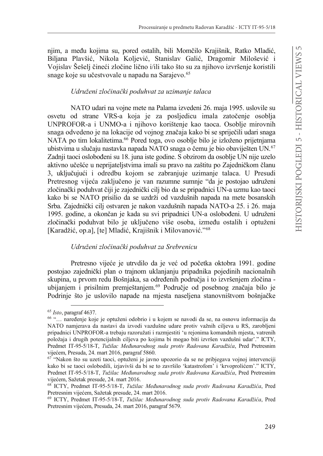nijm, a među kojima su, pored ostalih, bili Momčilo Krajišnik, Ratko Mladić, Biljana Plavšić, Nikola Koljević, Stanislav Galić, Dragomir Milošević i Vojislav Šešelj čineći zločine lično i/ili tako što su za njihovo izvršenje koristili snage koje su učestvovale u napadu na Sarajevo.<sup>65</sup>

## Udruženi zločinački poduhvat za uzimanje talaca

NATO udari na vojne mete na Palama izvedeni 26. maja 1995. uslovile su osvetu od strane VRS-a koja je za posljedicu imala zatočenje osoblja UNPROFOR-a i UNMO-a i njihovo korištenje kao taoca. Osoblje mirovnih snaga odvedeno je na lokacije od vojnog značaja kako bi se spriječili udari snaga NATA po tim lokalitetima.<sup>66</sup> Pored toga, ovo osoblje bilo je izloženo prijetnjama ubistvima u slučaju nastavka napada NATO snaga o čemu je bio obaviješten UN.<sup>67</sup> Zadnij taoci oslobođeni su 18. juna iste godine. S obzirom da osoblje UN nije uzelo aktivno učešće u neprijateljstvima imali su pravo na zaštitu po Zajedničkom članu 3, uključujući i odredbu kojom se zabranjuje uzimanje talaca. U Presudi Pretresnog vijeća zaključeno je van razumne sumnje "da je postojao udruženi zločinački poduhvat čiji je zajednički cilj bio da se pripadnici UN-a uzmu kao taoci kako bi se NATO prisilio da se uzdrži od vazdušnih napada na mete bosanskih Srba. Zajednički cilj ostvaren je nakon vazdušnih napada NATO-a 25. i 26. maja 1995. godine, a okončan je kada su svi pripadnici UN-a oslobođeni. U udruženi zločinački poduhvat bilo je uključeno više osoba, između ostalih i optuženi [Karadžić, op.a], [te] Mladić, Krajišnik i Milovanović."<sup>68</sup>

## Udruženi zločinački poduhvat za Srebrenicu

Pretresno vijeće je utrvdilo da je već od početka oktobra 1991. godine postojao zajednički plan o trajnom uklanjanju pripadnika pojedinih nacionalnih skupina, u prvom redu Bošnjaka, sa određenih područja i to izvršenjem zločina ubijanjem i prisilnim premještanjem.<sup>69</sup> Područje od posebnog značaja bilo je Podrinje što je uslovilo napade na mjesta naseljena stanovništvom bošnjačke

 $65$  Isto, paragraf 4637.

<sup>&</sup>lt;sup>66</sup> "... naređenje koje je optuženi odobrio i u kojem se navodi da se, na osnovu informacija da NATO namjerava da nastavi da izvodi vazdušne udare protiv važnih ciljeva u RS, zarobljeni pripadnici UNPROFOR-a trebaju razoružati i razmjestiti 'u rejonima komandnih mjesta, vatrenih položaja i drugih potencijalnih ciljeva po kojima bi mogao biti izvršen vazdušni udar'." ICTY, Predmet IT-95-5/18-T, Tužilac Međunarodnog suda protiv Radovana Karadžića, Pred Pretresnim vijećem, Presuda, 24. mart 2016, paragraf 5860.

 $67$  "Nakon što su uzeti taoci, optuženi je javno upozorio da se ne pribjegava vojnoj intervenciji kako bi se taoci oslobodili, izjavivši da bi se to završilo 'katastrofom' i 'krvoprolićem'." ICTY, Predmet IT-95-5/18-T, Tužilac Međunarodnog suda protiv Radovana Karadžića, Pred Pretresnim vijećem, Sažetak presude, 24. mart 2016.

<sup>&</sup>lt;sup>68</sup> ICTY, Predmet IT-95-5/18-T, Tužilac Međunarodnog suda protiv Radovana Karadžića, Pred Pretresnim vijećem, Sažetak presude, 24. mart 2016.

<sup>69</sup> ICTY, Predmet IT-95-5/18-T, Tužilac Međunarodnog suda protiv Radovana Karadžića, Pred Pretresnim vijećem, Presuda, 24. mart 2016, paragraf 5679.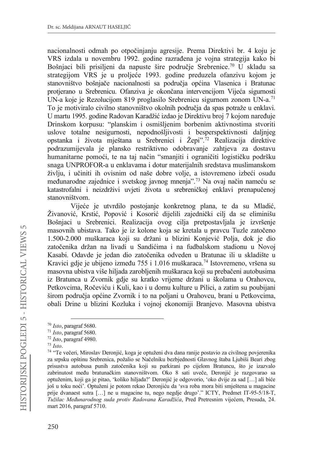nacionalnosti odmah po otpočinianiu agresije. Prema Direktivi br. 4 koju je VRS izdala u novembru 1992. godine razrađena je vojna strategija kako bi Bošnjaci bili prisiljeni da napuste šire područje Srebrenice.<sup>70</sup> U skladu sa strategijom VRS je u proljeće 1993. godine preduzela ofanzivu kojom je stanovništvo bošniače nacionalnosti sa područia općina Vlasenica i Bratunac protjerano u Srebrenicu. Ofanziva je okončana intervencijom Vijeća sigurnosti UN-a koje je Rezolucijom 819 proglasilo Srebrenicu sigurnom zonom UN-a.71 To je motiviralo civilno stanovništvo okolnih područja da spas potraže u enklavi. U martu 1995. godine Radovan Karadžić izdao je Direktivu broj 7 kojom naređuje Drinskom korpusu: "planskim i osmišljenim borbenim aktivnostima stvoriti uslove totalne nesigurnosti, nepodnošljivosti i besperspektivnosti daljnjeg opstanka i života mještana u Srebrenici i Žepi".72 Realizacija direktive podrazumijevala je plansko restriktivno odobravanje zahtjeva za dostavu humanitarne pomoći, te na taj način "smanjiti i ograničiti logističku podršku snaga UNPROFOR-a u enklavama i dotur materijalnih sredstava muslimanskom življu, i učiniti ih ovisnim od naše dobre volje, a istovremeno izbeći osudu međunarodne zajednice i svetskog javnog mnenja".<sup>73</sup> Na ovaj način nameću se katastrofalni i neizdrživi uvjeti života u srebreničkoj enklavi prenapučenoj stanovništvom.

Vijeće je utvrdilo postojanje konkretnog plana, te da su Mladić, Živanović, Krstić, Popović i Kosorić dijelili zajednički cilj da se eliminišu Bošnjaci u Srebrenici. Realizacija ovog cilja pretpostavljala je izvršenje masovnih ubistava. Tako je iz kolone koja se kretala u pravcu Tuzle zatočeno 1.500-2.000 muškaraca koji su držani u blizini Konjević Polja, dok je dio zatočenika držan na livadi u Sandićima i na fudbalskom stadionu u Novoj Kasabi. Odavde je jedan dio zatočenika odveden u Bratunac ili u skladište u Kravici gdje je ubijeno između 755 i 1.016 muškaraca.<sup>74</sup> Istovremeno, vršena su masovna ubistva više hiljada zarobljenih muškaraca koji su prebačeni autobusima iz Bratunca u Zvornik gdje su kratko vrijeme držani u školama u Orahovcu, Petkovcima, Ročeviću i Kuli, kao i u domu kulture u Pilici, a zatim su poubijani širom područja općine Zvornik i to na poljani u Orahovcu, brani u Petkovcima, obali Drine u blizini Kozluka i vojnoj ekonomiji Branjevo. Masovna ubistva

<sup>70</sup> *Isto*, paragraf 5680.

<sup>71</sup> *Isto*, paragraf 5680.

<sup>72</sup> *Isto*, paragraf 4980.

<sup>73</sup> *Isto*.

<sup>74 &</sup>quot;Te večeri, Miroslav Deronjić, koga je optuženi dva dana ranije postavio za civilnog povjerenika za srpsku opštinu Srebrenica, požalio se Načelniku bezbjednosti Glavnog štaba Ljubiši Beari zbog prisustva autobusa punih zatočenika koji su parkirani po cijelom Bratuncu, što je izazvalo zabrinutost među bratunačkim stanovništvom. Oko 8 sati uveče, Deronjić je razgovarao sa optuženim, koji ga je pitao, 'koliko hiljada?' Deronjić je odgovorio, 'oko dvije za sad [...] ali biće još u toku noći'. Optuženi je potom rekao Deronjiću da 'sva roba mora biti smještena u magacine prije dvanaest sutra […] ne u magacine tu, nego negdje drugo'." ICTY, Predmet IT-95-5/18-T, *Tužilac Međunarodnog suda protiv Radovana Karadžića*, Pred Pretresnim vijećem, Presuda, 24. mart 2016, paragraf 5710.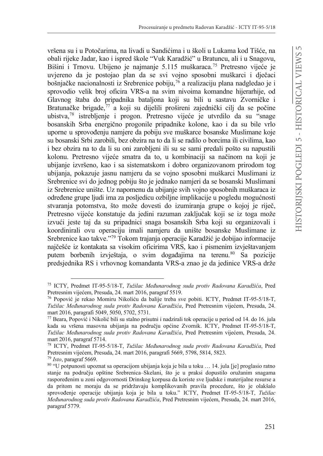vršena su i u Potočarima, na livadi u Sandićima i u školi u Lukama kod Tišće, na obali rijeke Jadar, kao i ispred škole "Vuk Karadžić" u Bratuncu, ali i u Snagovu, Bišini i Trnovu. Ubijeno je najmanje 5.115 muškaraca.<sup>75</sup> Pretresno vijeće je uvjereno da je postojao plan da se svi vojno sposobni muškarci i dječaci bošnjačke nacionalnosti iz Srebrenice pobiju,<sup>76</sup> a realizaciju plana nadgledao je i sprovodio velik broj oficira VRS-a na svim nivoima komandne hijerarhije, od Glavnog štaba do pripadnika bataljona koji su bili u sastavu Zvorničke i Bratunačke brigade, $\frac{77}{9}$ a koji su dijelili prošireni zajednički cilj da se počine ubistva,<sup>78</sup> istrebljenje i progon. Pretresno vijeće je utvrdilo da su "snage bosanskih Srba energično progonile pripadnike kolone, kao i da su bile vrlo uporne u sprovoÿenju namjere da pobiju sve muškarce bosanske Muslimane koje su bosanski Srbi zarobili, bez obzira na to da li se radilo o borcima ili civilima, kao i bez obzira na to da li su oni zarobljeni ili su se sami predali pošto su napustili kolonu. Pretresno vijeće smatra da to, u kombinaciji sa načinom na koji je ubijanje izvršeno, kao i sa sistematskom i dobro organizovanom prirodom tog ubijanja, pokazuje jasnu namjeru da se vojno sposobni muškarci Muslimani iz Srebrenice svi do jednog pobiju što je jednako namjeri da se bosanski Muslimani iz Srebrenice unište. Uz napomenu da ubijanje svih vojno sposobnih muškaraca iz određene grupe ljudi ima za posljedicu ozbiljne implikacije u pogledu mogućnosti stvaranja potomstva, što može dovesti do izumiranja grupe o kojoj je riječ, Pretresno vijeće konstatuje da jedini razuman zaključak koji se iz toga može izvući jeste taj da su pripadnici snaga bosanskih Srba koji su organizovali i koordinirali ovu operaciju imali namjeru da unište bosanske Muslimane iz Srebrenice kao takve."<sup>79</sup> Tokom trajanja operacije Karadžić je dobijao informacije najčešće iz kontakata sa visokim oficirima VRS, kao i pismenim izvještavanjem putem borbenih izvještaja, o svim događajima na terenu.<sup>80</sup> Sa pozicije predsjednika RS i vrhovnog komandanta VRS-a znao je da jedinice VRS-a drže

<sup>&</sup>lt;sup>75</sup> ICTY, Predmet IT-95-5/18-T, *Tužilac Međunarodnog suda protiv Radovana Karadžića*, Pred Pretresnim vijećem, Presuda, 24. mart 2016, paragraf 5519.

<sup>&</sup>lt;sup>76</sup> Popović je rekao Momiru Nikoliću da balije treba sve pobiti. ICTY, Predmet IT-95-5/18-T, Tužilac Međunarodnog suda protiv Radovana Karadžića, Pred Pretresnim vijećem, Presuda, 24. mart 2016, paragrafi 5049, 5050, 5702, 5731.

<sup>77</sup> Beara, Popović i Nikolić bili su stalno prisutni i nadzirali tok operacije u period od 14. do 16. jula kada su vršena masovna ubijanja na području općine Zvornik. ICTY, Predmet IT-95-5/18-T, *Tužilac Međunarodnog suda protiv Radovana Karadžića*, Pred Pretresnim vijećem, Presuda, 24. mart 2016, paragraf 5714.

<sup>&</sup>lt;sup>78</sup> ICTY, Predmet IT-95-5/18-T, *Tužilac Međunarodnog suda protiv Radovana Karadžića*, Pred Pretresnim vijećem, Presuda, 24. mart 2016, paragrafi 5669, 5798, 5814, 5823. <sup>79</sup> *Isto*, paragraf 5669.

<sup>80</sup> "U potpunosti upoznat sa operacijom ubijanja koja je bila u toku … 14. jula [je] proglasio ratno stanje na području opštine Srebrenica–Skelani, što je u praksi dopustilo oružanim snagama raspoređenim u zoni odgovornosti Drinskog korpusa da koriste sve ljudske i materijalne resurse a da pritom ne moraju da se pridržavaju komplikovanih pravila procedure, što je olakšalo sprovođenje operacije ubijanja koja je bila u toku." ICTY, Predmet IT-95-5/18-T, *Tužilac Međunarodnog suda protiv Radovana Karadžića*, Pred Pretresnim vijećem, Presuda, 24. mart 2016, paragraf 5779.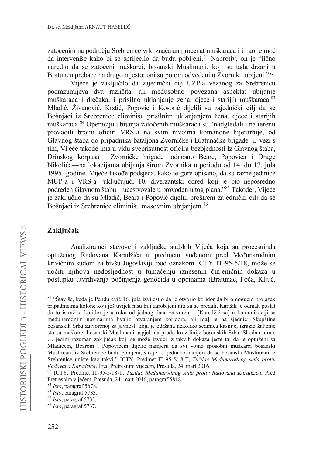zatočenim na područiu Srebrenice vrlo značajan procenat muškaraca i imao je moć da interveniše kako bi se spriječilo da budu pobijeni.<sup>81</sup> Naprotiv, on je "lično naredio da se zatočeni muškarci, bosanski Muslimani, koji su tada držani u Bratuncu prebace na drugo mjesto; oni su potom odvedeni u Zvornik i ubijeni."<sup>82</sup>

Vijeće je zaključilo da zajednički cili UZP-a vezanog za Srebrenicu podrazumijeva dva različita, ali međusobno povezana aspekta: ubijanje muškaraca i dječaka, i prisilno uklanjanje žena, djece i starijih muškaraca.<sup>83</sup> Mladić, Živanović, Krstić, Popović i Kosorić dijelili su zajednički cilj da se Bošnjaci iz Srebrenice eliminišu prisilnim uklanjanjem žena, djece i starijih muškaraca.<sup>84</sup> Operaciju ubijanja zatočenih muškaraca su "nadgledali i na terenu provodili brojni oficiri VRS-a na svim nivoima komandne hijerarhije, od Glavnog štaba do pripadnika bataljona Zvorničke i Bratunačke brigade. U vezi s tim. Vijeće takođe ima u vidu sveprisutnost oficira bezbiednosti iz Glavnog štaba. Drinskog korpusa i Zvorničke brigade—odnosno Beare, Popovića i Drage Nikolića—na lokacijama ubijanja širom Zvornika u periodu od 14. do 17. jula 1995. godine. Vijeće takođe podsjeća, kako je gore opisano, da su razne jedinice MUP-a i VRS-a—uključujući 10. diverzantski odred koji je bio neposredno podređen Glavnom štabu—učestvovale u provođenju tog plana."<sup>85</sup> Također, Vijeće je zaključilo da su Mladić, Beara i Popović dijelili prošireni zajednički cilj da se Bošnjaci iz Srebrenice eliminišu masovnim ubijanjem.<sup>86</sup>

# Zaključak

Analizirajući stavove i zaključke sudskih Vijeća koja su procesuirala optuženog Radovana Karadžića u predmetu vođenom pred Međunarodnim krivičnim sudom za bivšu Jugoslaviju pod oznakom ICTY IT-95-5/18, može se uočiti njihova nedosljednost u tumačenju iznesenih činjeničnih dokaza u postupku utvrđivanja počinjenja genocida u općinama (Bratunac, Foča, Ključ,

<sup>81 &</sup>quot;Štaviše, kada je Pandurević 16. jula izvijestio da je otvorio koridor da bi omogućio prolazak pripadnicima kolone koji još uvijek nisu bili zarobljeni niti su se predali, Karišik je odmah poslat da to istraži a koridor je u roku od jednog dana zatvoren... [Karadžić se] u komunikaciji sa međunarodnim novinarima hvalio otvaranjem koridora, ali [da] je na sjednici Skupštine bosanskih Srba zatvorenoj za javnost, koja je održana nekoliko sedmica kasnije, izrazio žaljenje što su muškarci bosanski Muslimani uspjeli da prođu kroz linije bosanskih Srba. Shodno tome, ... jedini razuman zaključak koji se može izvući iz takvih dokaza jeste taj da je optuženi sa Mladićem, Bearom i Popovićem dijelio namjeru da svi vojno sposobni muškarci bosanski Muslimani iz Srebrenice budu pobijeni, što je ... jednako namjeri da se bosanski Muslimani iz Srebrenice unište kao takvi." ICTY, Predmet IT-95-5/18-T, Tužilac Međunarodnog suda protiv Radovana Karadžića, Pred Pretresnim vijećem, Presuda, 24. mart 2016.

<sup>82</sup> ICTY, Predmet IT-95-5/18-T, Tužilac Međunarodnog suda protiv Radovana Karadžića, Pred Pretresnim vijećem, Presuda, 24. mart 2016, paragraf 5818.

 $83$  Isto, paragraf 5678.

 $84$  Isto, paragraf 5733.

 $85$  Isto, paragraf 5735.

 $86$  Isto, paragraf 5737.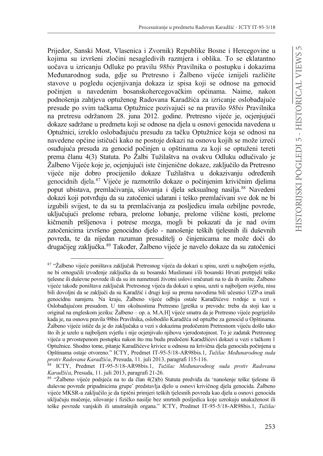Prijedor, Sanski Most, Vlasenica i Zvornik) Republike Bosne i Hercegovine u kojima su izvršeni zločini nesagledivih razmjera i oblika. To se eklatantno uočava u izricanju Odluke po pravilu 98bis Pravilnika o postupku i dokazima Međunarodnog suda, gdje su Pretresno i Žalbeno vijeće iznijeli različite stavove u pogledu ocienijvanja dokaza iz spisa koji se odnose na genocid počinjen u navedenim bosanskohercegovačkim općinama. Naime, nakon podnošenja zahtjeva optuženog Radovana Karadžića za izricanje oslobađajuće presude po svim tačkama Optužnice pozivajući se na pravilo 98bis Pravilnika na pretresu održanom 28. juna 2012. godine. Pretresno vijeće je, ocjenjujući dokaze sadržane u predmetu koji se odnose na djela u osnovi genocida navedena u Optužnici, izreklo oslobađajuću presudu za tačku Optužnice koja se odnosi na navedene općine ističući kako ne postoje dokazi na osnovu kojih se može izreći osuđujuća presuda za genocid počinjen u opštinama za koji se optuženi tereti prema članu 4(3) Statuta. Po Žalbi Tužilaštva na ovakvu Odluku odlučivalo je Žalbeno Vijeće koje je, ocjenjujući iste činjenične dokaze, zaključilo da Pretresno vijeće nije dobro procijenilo dokaze Tužilaštva u dokazivanju određenih genocidnih djela.<sup>87</sup> Vijeće je razmotrilo dokaze o počinjenim krivičnim djelima poput ubistava, premlaćivanja, silovanja i djela seksualnog nasilja.<sup>88</sup> Navedeni dokazi koji potvrđuju da su zatočenici udarani i teško premlaćivani sve dok ne bi izgubili svijest, te da su ta premlaćivanja za posljedicu imala ozbiljne povrede, uključujući prelome rebara, prelome lobanje, prelome vilične kosti, prelome kičmenih pršljenova i potrese mozga, mogli bi pokazati da je nad ovim zatočenicima izvršeno genocidno djelo - nanošenje teških tjelesnih ili duševnih povreda, te da nijedan razuman presuditelj o činjenicama ne može doći do drugačijeg zaključka.<sup>89</sup> Također, Žalbeno vijeće je navelo dokaze da su zatočenici

<sup>87 &</sup>quot;Žalbeno vijeće poništava zaključak Pretresnog vijeća da dokazi u spisu, uzeti u najboljem svjetlu, ne bi omogućili izvođenje zaključka da su bosanski Muslimani i/ili bosanski Hrvati pretrpjeli teške tielesne ili duševne povrede ili da su im nametnuti životni uslovi sračunati na to da ih unište. Žalbeno vijeće takođe poništava zaključak Pretresnog vijeća da dokazi u spisu, uzeti u najboljem svjetlu, nisu bili dovoljni da se zaključi da su Karadžić i drugi koji su prema navodima bili učesnici UZP-a imali genocidnu namjeru. Na kraju, Žalbeno vijeće odbija ostale Karadžićeve tvrdnje u vezi s Oslobađajućom presudom. U tim okolnostima Pretresno [greška u prevodu: treba da stoji kao u original na engleskom jeziku: Žalbeno - op. a. M.A.H] vijeće smatra da je Pretresno vijeće pogriješilo kada je, na osnovu pravila 98bis Pravilnika, oslobodilo Karadžća od optužbe za genocid u Opštinama. Žalbeno vijeće ističe da je do zaključaka u vezi s dokazima predočenim Pretresnom vijeću došlo tako što ih je uzelo u najboljem svjetlu i nije ocjenjivalo njihovu vjerodostojnost. To je zadatak Pretresnog vijeća u prvostepenom postupku nakon što mu budu predočeni Karadžićevi dokazi u vezi s tačkom 1 Optužnice. Shodno tome, pitanje Karadžićeve krivice u odnosu na krivična djela genocida počinjena u Opštinama ostaje otvoreno." ICTY, Predmet IT-95-5/18-AR98bis.1, Tužilac Međunarodnog suda protiv Radovana Karadžića, Presuda, 11. juli 2013, paragrafi 115-116.

<sup>88</sup> ICTY, Predmet IT-95-5/18-AR98bis.1, Tužilac Međunarodnog suda protiv Radovana Karadžića, Presuda, 11. juli 2013, paragrafi 21-26.

<sup>89 &</sup>quot;Žalbeno vijeće podsjeća na to da član 4(2)(b) Statuta predviđa da 'nanošenje teške tjelesne ili duševne povrede pripadnicima grupe' predstavlja djelo u osnovi krivičnog djela genocida. Žalbeno vijeće MKSR-a zaključilo je da tipični primjeri teških tjelesnih povreda kao djela u osnovi genocida uključuju mučenje, silovanje i fizičko nasilje bez smrtnih posljedica koje uzrokuju unakaženost ili teške povrede vanjskih ili unutrašnjih organa." ICTY, Predmet IT-95-5/18-AR98bis.1, Tužilac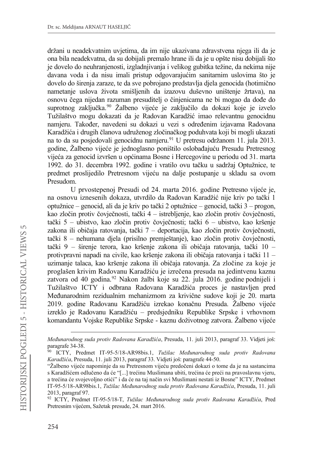držani u neadekvatnim uvietima, da im nije ukazivana zdravstvena njega ili da je ona bila neadekvatna, da su dobijali premalo hrane ili da je u opšte nisu dobijali što je dovelo do neuhranjenosti, izgladnjivanja i velikog gubitka težine, da nekima nije davana voda i da nisu imali pristup odgovarajućim sanitarnim uslovima što je dovelo do širenja zaraze, te da sve pobrojano predstavlja djela genocida (hotimično nametanje uslova života smišljenih da izazovu duševno uništenje žrtava), na osnovu čega nijedan razuman presuditelj o činjenicama ne bi mogao da dođe do suprotnog zaključka.<sup>90</sup> Žalbeno vijeće je zaključilo da dokazi koje je izvelo Tužilaštvo mogu dokazati da je Radovan Karadžić imao relevantnu genocidnu namjeru. Također, navedeni su dokazi u vezi s određenim izjavama Radovana Karadžića i drugih članova udruženog zločinačkog poduhvata koji bi mogli ukazati na to da su posjedovali genocidnu namjeru.<sup>91</sup> U pretresu održanom 11. jula 2013. godine. Žalbeno vijeće je jednoglasno poništilo oslobađajuću Presudu Pretresnog vijeća za genocid izvršen u općinama Bosne i Hercegovine u periodu od 31. marta 1992. do 31. decembra 1992. godine i vratilo ovu tačku u sadržaj Optužnice, te predmet proslijedilo Pretresnom vijeću na dalje postupanje u skladu sa ovom Presudom.

U prvostepenoj Presudi od 24. marta 2016. godine Pretresno vijeće je, na osnovu iznesenih dokaza, utvrdilo da Radovan Karadžić nije kriv po tački 1 optužnice – genocid, ali da je kriv po tački 2 optužnice – genocid, tački 3 – progon, kao zločin protiv čovječnosti, tački 4 – istrebljenje, kao zločin protiv čovječnosti, tački 5 – ubistvo, kao zločin protiv čovječnosti; tački 6 – ubistvo, kao kršenje zakona ili običaja ratovanja, tački 7 - deportacija, kao zločin protiv čovječnosti, tački 8 – nehumana djela (prisilno premještanje), kao zločin protiv čovječnosti, tački 9 - širenje terora, kao kršenje zakona ili običaja ratovanja, tački 10 protivpravni napadi na civile, kao kršenje zakona ili običaja ratovanja i tački 11 uzimanje talaca, kao kršenje zakona ili običaja ratovanja. Za zločine za koje je proglašen krivim Radovanu Karadžiću je izrečena presuda na jedintvenu kaznu zatvora od 40 godina.<sup>92</sup> Nakon žalbi koje su 22. jula 2016. godine podnijeli i Tužilaštvo ICTY i odbrana Radovana Karadžića proces je nastavljen pred Međunarodnim rezidualnim mehanizmom za krivične sudove koji je 20. marta 2019. godine Radovanu Karadžiću izrekao konačnu Presuda. Žalbeno vijeće izreklo je Radovanu Karadžiću – predsjedniku Republike Srpske i vrhovnom komandantu Vojske Republike Srpske - kaznu doživotnog zatvora. Žalbeno vijeće

Međunarodnog suda protiv Radovana Karadžića, Presuda, 11. juli 2013, paragraf 33. Vidjeti još: paragrafe 34-38.

<sup>90</sup> ICTY, Predmet IT-95-5/18-AR98bis.1, Tužilac Međunarodnog suda protiv Radovana Karadžića, Presuda, 11. juli 2013, paragraf 33. Vidjeti još: paragrafe 44-50.

<sup>&</sup>quot;Žalbeno vijeće napominje da su Pretresnom vijeću predočeni dokazi o tome da je na sastancima s Karadžićem odlučeno da će "[...] trećinu Muslimana ubiti, trećina će preći na pravoslavnu vjeru, a trećina će svojevoljno otići" i da će na taj način svi Muslimani nestati iz Bosne" ICTY, Predmet IT-95-5/18-AR98bis.1, Tužilac Međunarodnog suda protiv Radovana Karadžića, Presuda, 11. juli 2013, paragraf 97.

<sup>&</sup>lt;sup>92</sup> ICTY, Predmet IT-95-5/18-T, Tužilac Međunarodnog suda protiv Radovana Karadžića, Pred Pretresnim vijećem, Sažetak presude, 24. mart 2016.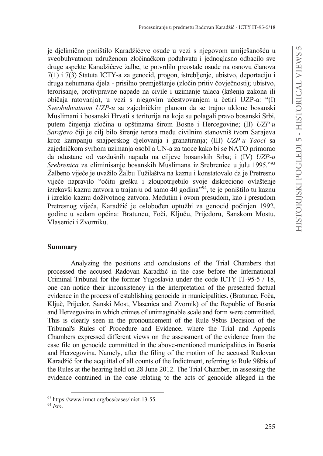je dielimično poništilo Karadžićeve osude u vezi s niegovom umiješanošću u sveobuhvatnom udruženom zločinačkom poduhvatu i jednoglasno odbacilo sve druge aspekte Karadžićeve žalbe, te potvrdilo preostale osude na osnovu članova  $7(1)$  i  $7(3)$  Statuta ICTY-a za genocid, progon, istrebljenje, ubistvo, deportaciju i druga nehumana diela - prisilno premieštanie (zločin pritiv čoviečnosti); ubistvo, terorisanje, protivpravne napade na civile i uzimanje talaca (kršenja zakona ili običaja ratovanja), u vezi s njegovim učestvovanjem u četiri UZP-a: "(I) Sveobuhvatnom UZP-u sa zajedničkim planom da se trajno uklone bosanski Muslimani i bosanski Hrvati s teritorija na koje su polagali pravo bosanski Srbi, putem činjenja zločina u opštinama širom Bosne i Hercegovine; (II) UZP-u Sarajevo čiji je cilj bilo širenje terora među civilnim stanovniš tvom Sarajeva kroz kampanju snajperskog djelovanja i granatiranja; (III) UZP-u Taoci sa zajedničkom svrhom uzimanja osoblja UN-a za taoce kako bi se NATO primorao da odustane od vazdušnih napada na ciljeve bosanskih Srba; i (IV) UZP-u Srebrenica za eliminisanje bosanskih Muslimana iz Srebrenice u julu 1995."93 Žalbeno vijeće je uvažilo Žalbu Tužilaštva na kaznu i konstatovalo da je Pretresno vijeće napravilo "očitu grešku i zloupotrijebilo svoje diskreciono ovlaštenje izrekavši kaznu zatvora u trajanju od samo 40 godina<sup>194</sup>, te je poništilo tu kaznu i izreklo kaznu doživotnog zatvora. Međutim i ovom presudom, kao i presudom Pretresnog vijeća, Karadžić je oslobođen optužbi za genocid počinjen 1992. godine u sedam općina: Bratuncu, Foči, Ključu, Prijedoru, Sanskom Mostu, Vlasenici i Zvorniku.

#### **Summary**

Analyzing the positions and conclusions of the Trial Chambers that processed the accused Radovan Karadžić in the case before the International Criminal Tribunal for the former Yugoslavia under the code ICTY IT-95-5 / 18, one can notice their inconsistency in the interpretation of the presented factual evidence in the process of establishing genocide in municipalities. (Bratunac, Foča, Ključ, Prijedor, Sanski Most, Vlasenica and Zvornik) of the Republic of Bosnia and Herzegovina in which crimes of unimaginable scale and form were committed. This is clearly seen in the pronouncement of the Rule 98bis Decision of the Tribunal's Rules of Procedure and Evidence, where the Trial and Appeals Chambers expressed different views on the assessment of the evidence from the case file on genocide committed in the above-mentioned municipalities in Bosnia and Herzegovina. Namely, after the filing of the motion of the accused Radovan Karadžić for the acquittal of all counts of the Indictment, referring to Rule 98bis of the Rules at the hearing held on 28 June 2012. The Trial Chamber, in assessing the evidence contained in the case relating to the acts of genocide alleged in the

<sup>93</sup> https://www.irmct.org/bcs/cases/mict-13-55.

 $94$  Isto.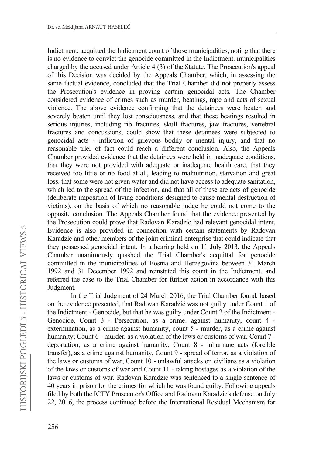Indictment, acquitted the Indictment count of those municipalities, noting that there is no evidence to convict the genocide committed in the Indictment. municipalities charged by the accused under Article 4 (3) of the Statute. The Prosecution's appeal of this Decision was decided by the Appeals Chamber, which, in assessing the same factual evidence, concluded that the Trial Chamber did not properly assess the Prosecution's evidence in proving certain genocidal acts. The Chamber considered evidence of crimes such as murder, beatings, rape and acts of sexual violence. The above evidence confirming that the detainees were beaten and severely beaten until they lost consciousness, and that these beatings resulted in serious injuries, including rib fractures, skull fractures, jaw fractures, vertebral fractures and concussions, could show that these detainees were subjected to genocidal acts - infliction of grievous bodily or mental injury, and that no reasonable trier of fact could reach a different conclusion. Also, the Appeals Chamber provided evidence that the detainees were held in inadequate conditions, that they were not provided with adequate or inadequate health care, that they received too little or no food at all, leading to malnutrition, starvation and great loss. that some were not given water and did not have access to adequate sanitation, which led to the spread of the infection, and that all of these are acts of genocide (deliberate imposition of living conditions designed to cause mental destruction of victims), on the basis of which no reasonable judge he could not come to the opposite conclusion. The Appeals Chamber found that the evidence presented by the Prosecution could prove that Radovan Karadzic had relevant genocidal intent. Evidence is also provided in connection with certain statements by Radovan Karadzic and other members of the joint criminal enterprise that could indicate that they possessed genocidal intent. In a hearing held on 11 July 2013, the Appeals Chamber unanimously quashed the Trial Chamber's acquittal for genocide committed in the municipalities of Bosnia and Herzegovina between 31 March 1992 and 31 December 1992 and reinstated this count in the Indictment. and referred the case to the Trial Chamber for further action in accordance with this Judgment.

In the Trial Judgment of 24 March 2016, the Trial Chamber found, based on the evidence presented, that Radovan Karadžić was not guilty under Count 1 of the Indictment - Genocide, but that he was guilty under Count 2 of the Indictment - Genocide, Count 3 - Persecution, as a crime. against humanity, count 4 extermination, as a crime against humanity, count 5 - murder, as a crime against humanity; Count 6 - murder, as a violation of the laws or customs of war, Count 7 deportation, as a crime against humanity, Count 8 - inhumane acts (forcible transfer), as a crime against humanity, Count 9 - spread of terror, as a violation of the laws or customs of war, Count 10 - unlawful attacks on civilians as a violation of the laws or customs of war and Count 11 - taking hostages as a violation of the laws or customs of war. Radovan Karadzic was sentenced to a single sentence of 40 years in prison for the crimes for which he was found guilty. Following appeals filed by both the ICTY Prosecutor's Office and Radovan Karadzic's defense on July 22, 2016, the process continued before the International Residual Mechanism for